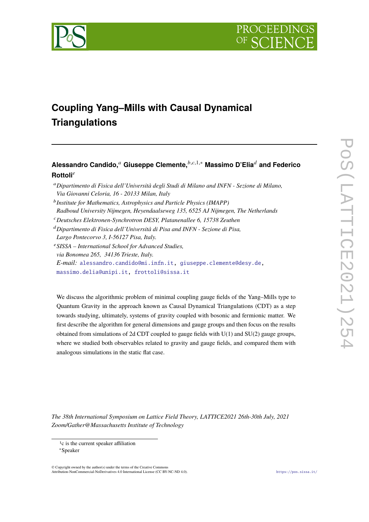



# **Coupling Yang–Mills with Causal Dynamical Triangulations**

# **Alessandro Candido,**<sup>𝑎</sup> **Giuseppe Clemente,**𝑏,𝑐,1,<sup>∗</sup> **Massimo D'Elia**<sup>𝑑</sup> **and Federico Rottoli<sup>e</sup>**

- <sup>𝑎</sup>*Dipartimento di Fisica dell'Università degli Studi di Milano and INFN Sezione di Milano, Via Giovanni Celoria, 16 - 20133 Milan, Italy*
- <sup>b</sup> Institute for Mathematics, Astrophysics and Particle Physics (IMAPP) *Radboud University Nijmegen, Heyendaalseweg 135, 6525 AJ Nijmegen, The Netherlands*
- <sup>𝑐</sup>*Deutsches Elektronen-Synchrotron DESY, Platanenallee 6, 15738 Zeuthen*
- <sup>𝑑</sup>*Dipartimento di Fisica dell'Università di Pisa and INFN Sezione di Pisa, Largo Pontecorvo 3, I-56127 Pisa, Italy.*
- <sup>𝑒</sup>*SISSA International School for Advanced Studies,*

*via Bonomea 265, 34136 Trieste, Italy.*

*E-mail:* [alessandro.candido@mi.infn.it,](mailto:alessandro.candido@mi.infn.it) [giuseppe.clemente@desy.de,](mailto:giuseppe.clemente@desy.de)

[massimo.delia@unipi.it,](mailto:massimo.delia@unipi.it) [frottoli@sissa.it](mailto:frottoli@sissa.it)

We discuss the algorithmic problem of minimal coupling gauge fields of the Yang–Mills type to Quantum Gravity in the approach known as Causal Dynamical Triangulations (CDT) as a step towards studying, ultimately, systems of gravity coupled with bosonic and fermionic matter. We first describe the algorithm for general dimensions and gauge groups and then focus on the results obtained from simulations of 2d CDT coupled to gauge fields with U(1) and SU(2) gauge groups, where we studied both observables related to gravity and gauge fields, and compared them with analogous simulations in the static flat case.

*The 38th International Symposium on Lattice Field Theory, LATTICE2021 26th-30th July, 2021 Zoom/Gather@Massachusetts Institute of Technology*

© Copyright owned by the author(s) under the terms of the Creative Commons Attribution-NonCommercial-NoDerivatives 4.0 International License (CC BY-NC-ND 4.0). <https://pos.sissa.it/>

<sup>1</sup>c is the current speaker affiliation

<sup>∗</sup>Speaker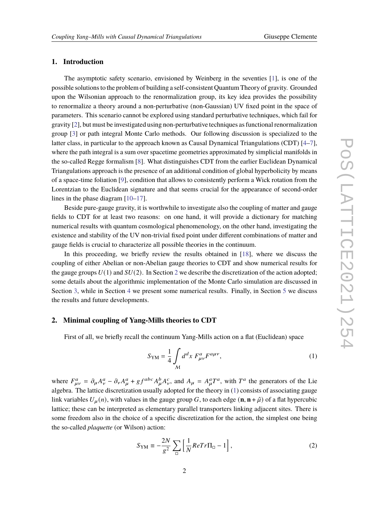#### **1. Introduction**

The asymptotic safety scenario, envisioned by Weinberg in the seventies [\[1\]](#page-10-0), is one of the possible solutions to the problem of building a self-consistent Quantum Theory of gravity. Grounded upon the Wilsonian approach to the renormalization group, its key idea provides the possibility to renormalize a theory around a non-perturbative (non-Gaussian) UV fixed point in the space of parameters. This scenario cannot be explored using standard perturbative techniques, which fail for gravity [\[2\]](#page-10-1), but must be investigated using non-perturbative techniques as functional renormalization group [\[3\]](#page-10-2) or path integral Monte Carlo methods. Our following discussion is specialized to the latter class, in particular to the approach known as Causal Dynamical Triangulations (CDT) [\[4–](#page-10-3)[7\]](#page-10-4), where the path integral is a sum over spacetime geometries approximated by simplicial manifolds in the so-called Regge formalism [\[8\]](#page-10-5). What distinguishes CDT from the earlier Euclidean Dynamical Triangulations approach is the presence of an additional condition of global hyperbolicity by means of a space-time foliation [\[9\]](#page-10-6), condition that allows to consistently perform a Wick rotation from the Lorentzian to the Euclidean signature and that seems crucial for the appearance of second-order lines in the phase diagram [\[10–](#page-10-7)[17\]](#page-11-0).

Beside pure-gauge gravity, it is worthwhile to investigate also the coupling of matter and gauge fields to CDT for at least two reasons: on one hand, it will provide a dictionary for matching numerical results with quantum cosmological phenomenology, on the other hand, investigating the existence and stability of the UV non-trivial fixed point under different combinations of matter and gauge fields is crucial to characterize all possible theories in the continuum.

In this proceeding, we briefly review the results obtained in [\[18\]](#page-11-1), where we discuss the coupling of either Abelian or non-Abelian gauge theories to CDT and show numerical results for the gauge groups  $U(1)$  and  $SU(2)$  $SU(2)$  $SU(2)$ . In Section 2 we describe the discretization of the action adopted; some details about the algorithmic implementation of the Monte Carlo simulation are discussed in Section [3,](#page-3-0) while in Section [4](#page-5-0) we present some numerical results. Finally, in Section [5](#page-9-0) we discuss the results and future developments.

#### <span id="page-1-0"></span>**2. Minimal coupling of Yang-Mills theories to CDT**

First of all, we briefly recall the continuum Yang-Mills action on a flat (Euclidean) space

<span id="page-1-1"></span>
$$
S_{\rm YM} = \frac{1}{4} \int_{\mathcal{M}} d^d x \ F^a_{\mu\nu} F^{a\mu\nu},\tag{1}
$$

where  $F_{\mu\nu}^a = \partial_\mu A_\nu^a - \partial_\nu A_\mu^a + gf^{abc} A_\mu^b A_\nu^c$ , and  $A_\mu = A_\mu^a T^a$ , with  $T^a$  the generators of the Lie algebra. The lattice discretization usually adopted for the theory in [\(1\)](#page-1-1) consists of associating gauge link variables  $U_{\mu}(n)$ , with values in the gauge group G, to each edge  $(\mathbf{n}, \mathbf{n} + \hat{\mu})$  of a flat hypercubic lattice; these can be interpreted as elementary parallel transporters linking adjacent sites. There is some freedom also in the choice of a specific discretization for the action, the simplest one being the so-called *plaquette* (or Wilson) action:

<span id="page-1-2"></span>
$$
S_{\rm YM} \equiv -\frac{2N}{g^2} \sum_{\square} \left[ \frac{1}{N} ReTr \Pi_{\square} - 1 \right],\tag{2}
$$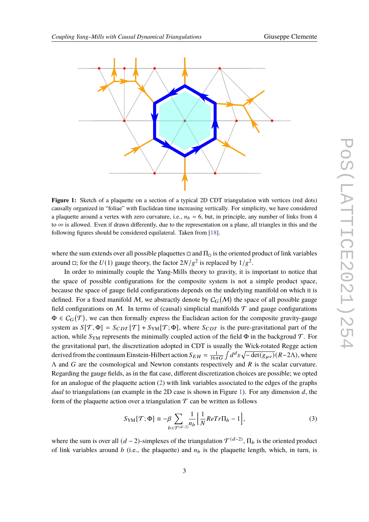<span id="page-2-0"></span>

**Figure 1:** Sketch of a plaquette on a section of a typical 2D CDT triangulation with vertices (red dots) causally organized in "foliae" with Euclidean time increasing vertically. For simplicity, we have considered a plaquette around a vertex with zero curvature, i.e.,  $n_b = 6$ , but, in principle, any number of links from 4 to  $\infty$  is allowed. Even if drawn differently, due to the representation on a plane, all triangles in this and the following figures should be considered equilateral. Taken from [\[18\]](#page-11-1).

where the sum extends over all possible plaquettes  $\Box$  and  $\Pi_{\Box}$  is the oriented product of link variables around  $\Box$ ; for the  $U(1)$  gauge theory, the factor  $2N/g^2$  is replaced by  $1/g^2$ .

In order to minimally couple the Yang-Mills theory to gravity, it is important to notice that the space of possible configurations for the composite system is not a simple product space, because the space of gauge field configurations depends on the underlying manifold on which it is defined. For a fixed manifold M, we abstractly denote by  $C_G(M)$  the space of all possible gauge field configurations on M. In terms of (causal) simplicial manifolds  $\mathcal T$  and gauge configurations  $\Phi \in C_G(\mathcal{T})$ , we can then formally express the Euclidean action for the composite gravity-gauge system as  $S[\mathcal{T}, \Phi] = S_{CDT}[\mathcal{T}] + S_{YM}[\mathcal{T}; \Phi]$ , where  $S_{CDT}$  is the pure-gravitational part of the action, while  $S_{YM}$  represents the minimally coupled action of the field  $\Phi$  in the backgroud  $\mathcal{T}$ . For the gravitational part, the discretization adopted in CDT is usually the Wick-rotated Regge action derived from the continuum Einstein-Hilbert action  $S_{EH} = \frac{1}{16\pi G} \int d^dx \sqrt{-\det(g_{\mu\nu})} (R-2\Lambda)$ , where  $\Lambda$  and  $G$  are the cosmological and Newton constants respectively and  $R$  is the scalar curvature. Regarding the gauge fields, as in the flat case, different discretization choices are possible; we opted for an analogue of the plaquette action [\(2\)](#page-1-2) with link variables associated to the edges of the graphs *dual* to triangulations (an example in the 2D case is shown in Figure [1\)](#page-2-0). For any dimension  $d$ , the form of the plaquette action over a triangulation  $\mathcal T$  can be written as follows

<span id="page-2-1"></span>
$$
S_{\rm YM}[\mathcal{T};\Phi] \equiv -\beta \sum_{b \in \mathcal{T}^{(d-2)}} \frac{1}{n_b} \Big[ \frac{1}{N} ReTr \Pi_b - 1 \Big],\tag{3}
$$

where the sum is over all  $(d-2)$ -simplexes of the triangulation  $\mathcal{T}^{(d-2)}$ ,  $\Pi_b$  is the oriented product of link variables around  $b$  (i.e., the plaquette) and  $n_b$  is the plaquette length, which, in turn, is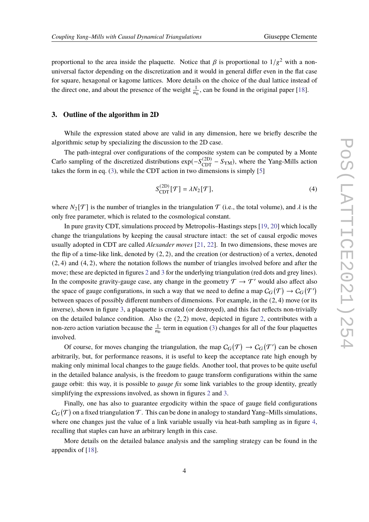proportional to the area inside the plaquette. Notice that  $\beta$  is proportional to  $1/g^2$  with a nonuniversal factor depending on the discretization and it would in general differ even in the flat case for square, hexagonal or kagome lattices. More details on the choice of the dual lattice instead of the direct one, and about the presence of the weight  $\frac{1}{n_b}$ , can be found in the original paper [\[18\]](#page-11-1).

#### <span id="page-3-0"></span>**3. Outline of the algorithm in 2D**

While the expression stated above are valid in any dimension, here we briefly describe the algorithmic setup by specializing the discussion to the 2D case.

The path-integral over configurations of the composite system can be computed by a Monte Carlo sampling of the discretized distributions  $\exp(-S_{\text{CDT}}^{(2D)} - S_{\text{YM}})$ , where the Yang-Mills action takes the form in eq. [\(3\)](#page-2-1), while the CDT action in two dimensions is simply [\[5\]](#page-10-8)

$$
S_{\text{CDT}}^{(2D)}[\mathcal{T}] = \lambda N_2[\mathcal{T}],\tag{4}
$$

where  $N_2[\mathcal{T}]$  is the number of triangles in the triangulation  $\mathcal{T}$  (i.e., the total volume), and  $\lambda$  is the only free parameter, which is related to the cosmological constant.

In pure gravity CDT, simulations proceed by Metropolis–Hastings steps [\[19,](#page-11-2) [20\]](#page-11-3) which locally change the triangulations by keeping the causal structure intact: the set of causal ergodic moves usually adopted in CDT are called *Alexander moves* [\[21,](#page-11-4) [22\]](#page-11-5). In two dimensions, these moves are the flip of a time-like link, denoted by (2, 2), and the creation (or destruction) of a vertex, denoted (2, 4) and (4, 2), where the notation follows the number of triangles involved before and after the move; these are depicted in figures [2](#page-4-0) and [3](#page-4-1) for the underlying triangulation (red dots and grey lines). In the composite gravity-gauge case, any change in the geometry  $\mathcal{T} \to \mathcal{T}'$  would also affect also the space of gauge configurations, in such a way that we need to define a map  $C_G(\mathcal{T}) \to C_G(\mathcal{T}')$ between spaces of possibly different numbers of dimensions. For example, in the  $(2, 4)$  move (or its inverse), shown in figure [3,](#page-4-1) a plaquette is created (or destroyed), and this fact reflects non-trivially on the detailed balance condition. Also the (2, 2) move, depicted in figure [2,](#page-4-0) contributes with a non-zero action variation because the  $\frac{1}{n_b}$  term in equation [\(3\)](#page-2-1) changes for all of the four plaquettes involved.

Of course, for moves changing the triangulation, the map  $C_G(\mathcal{T}) \to C_G(\mathcal{T}')$  can be chosen arbitrarily, but, for performance reasons, it is useful to keep the acceptance rate high enough by making only minimal local changes to the gauge fields. Another tool, that proves to be quite useful in the detailed balance analysis, is the freedom to gauge transform configurations within the same gauge orbit: this way, it is possible to *gauge fix* some link variables to the group identity, greatly simplifying the expressions involved, as shown in figures [2](#page-4-0) and [3.](#page-4-1)

Finally, one has also to guarantee ergodicity within the space of gauge field configurations  $\mathcal{C}_G(\mathcal{T})$  on a fixed triangulation  $\mathcal{T}.$  This can be done in analogy to standard Yang–Mills simulations, where one changes just the value of a link variable usually via heat-bath sampling as in figure [4,](#page-4-2) recalling that staples can have an arbitrary length in this case.

More details on the detailed balance analysis and the sampling strategy can be found in the appendix of [\[18\]](#page-11-1).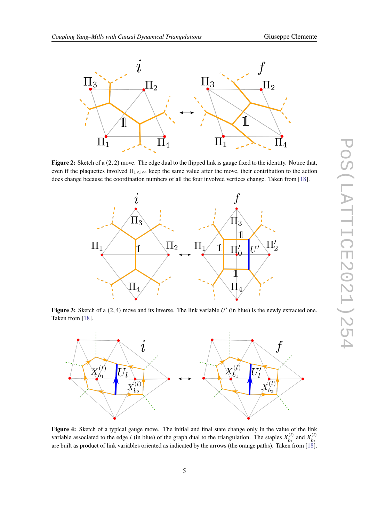<span id="page-4-0"></span>

<span id="page-4-1"></span>**Figure 2:** Sketch of a  $(2, 2)$  move. The edge dual to the flipped link is gauge fixed to the identity. Notice that, even if the plaquettes involved  $\Pi_{1\leq i\leq 4}$  keep the same value after the move, their contribution to the action does change because the coordination numbers of all the four involved vertices change. Taken from [\[18\]](#page-11-1).



Figure 3: Sketch of a  $(2, 4)$  move and its inverse. The link variable  $U'$  (in blue) is the newly extracted one. Taken from [\[18\]](#page-11-1).

<span id="page-4-2"></span>

**Figure 4:** Sketch of a typical gauge move. The initial and final state change only in the value of the link variable associated to the edge *l* (in blue) of the graph dual to the triangulation. The staples  $X_{b_i}^{(l)}$  $X_{b_1}^{(l)}$  and  $X_{b_2}^{(l)}$  $\overline{b_2}$ are built as product of link variables oriented as indicated by the arrows (the orange paths). Taken from [\[18\]](#page-11-1).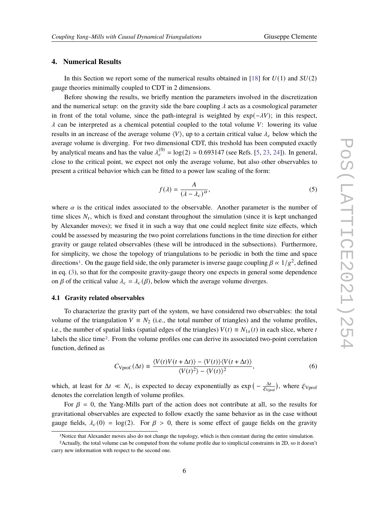# <span id="page-5-0"></span>**4. Numerical Results**

In this Section we report some of the numerical results obtained in [\[18\]](#page-11-1) for  $U(1)$  and  $SU(2)$ gauge theories minimally coupled to CDT in 2 dimensions.

Before showing the results, we briefly mention the parameters involved in the discretization and the numerical setup: on the gravity side the bare coupling  $\lambda$  acts as a cosmological parameter in front of the total volume, since the path-integral is weighted by  $exp(-\lambda V)$ ; in this respect,  $\lambda$  can be interpreted as a chemical potential coupled to the total volume V: lowering its value results in an increase of the average volume  $\langle V \rangle$ , up to a certain critical value  $\lambda_c$  below which the average volume is diverging. For two dimensional CDT, this treshold has been computed exactly by analytical means and has the value  $\lambda_c^{(0)} = \log(2) \approx 0.693147$  (see Refs. [\[5,](#page-10-8) [23,](#page-11-6) [24\]](#page-11-7)). In general, close to the critical point, we expect not only the average volume, but also other observables to present a critical behavior which can be fitted to a power law scaling of the form:

<span id="page-5-3"></span>
$$
f(\lambda) = \frac{A}{(\lambda - \lambda_c)^{\alpha}},\tag{5}
$$

where  $\alpha$  is the critical index associated to the observable. Another parameter is the number of time slices  $N_t$ , which is fixed and constant throughout the simulation (since it is kept unchanged by Alexander moves); we fixed it in such a way that one could neglect finite size effects, which could be assessed by measuring the two point correlations functions in the time direction for either gravity or gauge related observables (these will be introduced in the subsections). Furthermore, for simplicity, we chose the topology of triangulations to be periodic in both the time and space directions<sup>[1](#page-5-1)</sup>. On the gauge field side, the only parameter is inverse gauge coupling  $\beta \propto 1/g^2$ , defined in eq. [\(3\)](#page-2-1), so that for the composite gravity-gauge theory one expects in general some dependence on  $\beta$  of the critical value  $\lambda_c = \lambda_c(\beta)$ , below which the average volume diverges.

### **4.1 Gravity related observables**

To characterize the gravity part of the system, we have considered two observables: the total volume of the triangulation  $V = N_2$  (i.e., the total number of triangles) and the volume profiles, i.e., the number of spatial links (spatial edges of the triangles)  $V(t) \equiv N_{1s}(t)$  in each slice, where t labels the slice time[2](#page-5-2). From the volume profiles one can derive its associated two-point correlation function, defined as

$$
C_{\text{Vprof.}}(\Delta t) \equiv \frac{\langle V(t)V(t + \Delta t) \rangle - \langle V(t) \rangle \langle V(t + \Delta t) \rangle}{\langle V(t)^2 \rangle - \langle V(t) \rangle^2},\tag{6}
$$

which, at least for  $\Delta t \ll N_t$ , is expected to decay exponentially as  $\exp\left(-\frac{\Delta t}{\epsilon_{\text{max}}} \right)$  $\frac{\Delta t}{\xi_{\text{Vprof}}}\big)$ , where  $\xi_{\text{Vprof}}$ denotes the correlation length of volume profiles.

For  $\beta = 0$ , the Yang-Mills part of the action does not contribute at all, so the results for gravitational observables are expected to follow exactly the same behavior as in the case without gauge fields,  $\lambda_c(0) = \log(2)$ . For  $\beta > 0$ , there is some effect of gauge fields on the gravity

<span id="page-5-2"></span><span id="page-5-1"></span><sup>1</sup>Notice that Alexander moves also do not change the topology, which is then constant during the entire simulation.

<sup>2</sup>Actually, the total volume can be computed from the volume profile due to simplicial constraints in 2D, so it doesn't carry new information with respect to the second one.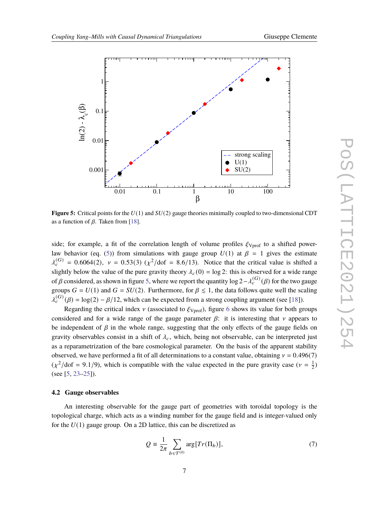<span id="page-6-0"></span>

**Figure 5:** Critical points for the  $U(1)$  and  $SU(2)$  gauge theories minimally coupled to two-dimensional CDT as a function of  $\beta$ . Taken from [\[18\]](#page-11-1).

side; for example, a fit of the correlation length of volume profiles  $\xi_{Vprof}$  to a shifted power-law behavior (eq. [\(5\)](#page-5-3)) from simulations with gauge group  $U(1)$  at  $\beta = 1$  gives the estimate  $\lambda_c^{(G)} = 0.6064(2)$ ,  $v = 0.53(3)$  ( $\chi^2$ /dof = 8.6/13). Notice that the critical value is shifted a slightly below the value of the pure gravity theory  $\lambda_c(0) = \log 2$ : this is observed for a wide range of  $\beta$  considered, as shown in figure [5,](#page-6-0) where we report the quantity log 2− $\lambda_c^{(G)}(\beta)$  for the two gauge groups  $G = U(1)$  and  $G = SU(2)$ . Furthermore, for  $\beta \leq 1$ , the data follows quite well the scaling  $\tilde{\lambda}_c^{(G)}(\beta) = \log(2) - \beta/12$ , which can be expected from a strong coupling argument (see [\[18\]](#page-11-1)).

Regarding the critical index  $\nu$  (associated to  $\xi_{Vprof}$ ), figure [6](#page-7-0) shows its value for both groups considered and for a wide range of the gauge parameter  $\beta$ : it is interesting that  $\nu$  appears to be independent of  $\beta$  in the whole range, suggesting that the only effects of the gauge fields on gravity observables consist in a shift of  $\lambda_c$ , which, being not observable, can be interpreted just as a reparametrization of the bare cosmological parameter. On the basis of the apparent stability observed, we have performed a fit of all determinations to a constant value, obtaining  $v = 0.496(7)$  $(\chi^2/\text{dof} = 9.1/9)$ , which is compatible with the value expected in the pure gravity case ( $\nu = \frac{1}{2}$ )  $(\frac{1}{2})$ (see [\[5,](#page-10-8) [23–](#page-11-6)[25\]](#page-11-8)).

#### **4.2 Gauge observables**

An interesting observable for the gauge part of geometries with toroidal topology is the topological charge, which acts as a winding number for the gauge field and is integer-valued only for the  $U(1)$  gauge group. On a 2D lattice, this can be discretized as

$$
Q = \frac{1}{2\pi} \sum_{b \in \mathcal{T}^{(0)}} \arg[Tr(\Pi_b)], \tag{7}
$$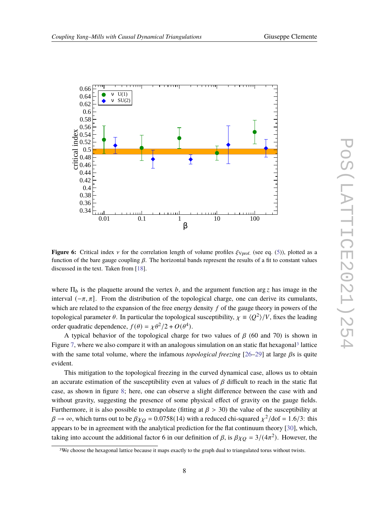<span id="page-7-0"></span>

**Figure 6:** Critical index  $\nu$  for the correlation length of volume profiles  $\xi_{Vprof.}$  (see eq. [\(5\)](#page-5-3)), plotted as a function of the bare gauge coupling  $\beta$ . The horizontal bands represent the results of a fit to constant values discussed in the text. Taken from [\[18\]](#page-11-1).

where  $\Pi_b$  is the plaquette around the vertex b, and the argument function arg z has image in the interval  $(-\pi, \pi]$ . From the distribution of the topological charge, one can derive its cumulants, which are related to the expansion of the free energy density  $f$  of the gauge theory in powers of the topological parameter  $\theta$ . In particular the topological susceptibility,  $\chi \equiv \langle Q^2 \rangle/V$ , fixes the leading order quadratic dependence,  $f(\theta) = \chi \theta^2 / 2 + O(\theta^4)$ .

A typical behavior of the topological charge for two values of  $\beta$  (60 and 70) is shown in Figure [7,](#page-8-0) where we also compare it with an analogous simulation on an static flat hexagonal<sup>[3](#page-7-1)</sup> lattice with the same total volume, where the infamous *topological freezing*  $[26-29]$  $[26-29]$  at large  $\beta$ s is quite evident.

This mitigation to the topological freezing in the curved dynamical case, allows us to obtain an accurate estimation of the susceptibility even at values of  $\beta$  difficult to reach in the static flat case, as shown in figure [8;](#page-8-1) here, one can observe a slight difference between the case with and without gravity, suggesting the presence of some physical effect of gravity on the gauge fields. Furthermore, it is also possible to extrapolate (fitting at  $\beta > 30$ ) the value of the susceptibility at  $\beta \to \infty$ , which turns out to be  $\beta \chi_{Q} = 0.0758(14)$  with a reduced chi-squared  $\chi^2/\text{dof} = 1.6/3$ : this appears to be in agreement with the analytical prediction for the flat continuum theory [\[30\]](#page-11-11), which, taking into account the additional factor 6 in our definition of  $\beta$ , is  $\beta \chi_{Q} = 3/(4\pi^2)$ . However, the

<span id="page-7-1"></span><sup>&</sup>lt;sup>3</sup>We choose the hexagonal lattice because it maps exactly to the graph dual to triangulated torus without twists.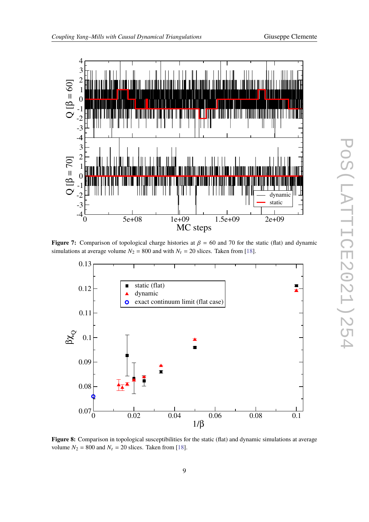<span id="page-8-0"></span>

**Figure 7:** Comparison of topological charge histories at  $\beta = 60$  and 70 for the static (flat) and dynamic simulations at average volume  $N_2 = 800$  and with  $N_t = 20$  slices. Taken from [\[18\]](#page-11-1).

<span id="page-8-1"></span>

**Figure 8:** Comparison in topological susceptibilities for the static (flat) and dynamic simulations at average volume  $N_2 = 800$  and  $N_t = 20$  slices. Taken from [\[18\]](#page-11-1).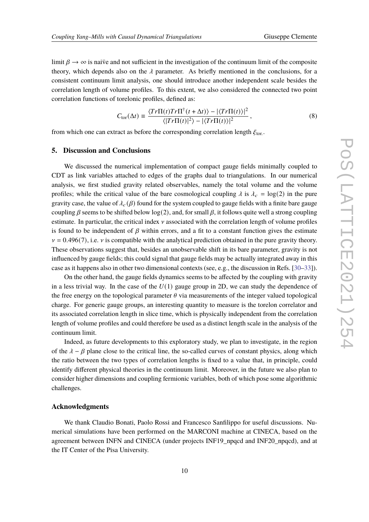limit  $\beta \rightarrow \infty$  is naive and not sufficient in the investigation of the continuum limit of the composite theory, which depends also on the  $\lambda$  parameter. As briefly mentioned in the conclusions, for a consistent continuum limit analysis, one should introduce another independent scale besides the correlation length of volume profiles. To this extent, we also considered the connected two point correlation functions of torelonic profiles, defined as:

$$
C_{\text{tor}}(\Delta t) \equiv \frac{\langle Tr\Pi(t)Tr\Pi^{\dagger}(t+\Delta t)\rangle - |\langle Tr\Pi(t)\rangle|^2}{\langle |Tr\Pi(t)|^2\rangle - |\langle Tr\Pi(t)\rangle|^2},\tag{8}
$$

from which one can extract as before the corresponding correlation length  $\xi_{\text{tor.}}$ .

## <span id="page-9-0"></span>**5. Discussion and Conclusions**

We discussed the numerical implementation of compact gauge fields minimally coupled to CDT as link variables attached to edges of the graphs dual to triangulations. In our numerical analysis, we first studied gravity related observables, namely the total volume and the volume profiles; while the critical value of the bare cosmological coupling  $\lambda$  is  $\lambda_c = \log(2)$  in the pure gravity case, the value of  $\lambda_c(\beta)$  found for the system coupled to gauge fields with a finite bare gauge coupling  $\beta$  seems to be shifted below log(2), and, for small  $\beta$ , it follows quite well a strong coupling estimate. In particular, the critical index  $\nu$  associated with the correlation length of volume profiles is found to be independent of  $\beta$  within errors, and a fit to a constant function gives the estimate  $v = 0.496(7)$ , i.e. v is compatible with the analytical prediction obtained in the pure gravity theory. These observations suggest that, besides an unobservable shift in its bare parameter, gravity is not influenced by gauge fields; this could signal that gauge fields may be actually integrated away in this case as it happens also in other two dimensional contexts (see, e.g., the discussion in Refs. [\[30–](#page-11-11)[33\]](#page-11-12)).

On the other hand, the gauge fields dynamics seems to be affected by the coupling with gravity in a less trivial way. In the case of the  $U(1)$  gauge group in 2D, we can study the dependence of the free energy on the topological parameter  $\theta$  via measurements of the integer valued topological charge. For generic gauge groups, an interesting quantity to measure is the torelon correlator and its associated correlation length in slice time, which is physically independent from the correlation length of volume profiles and could therefore be used as a distinct length scale in the analysis of the continuum limit.

Indeed, as future developments to this exploratory study, we plan to investigate, in the region of the  $\lambda - \beta$  plane close to the critical line, the so-called curves of constant physics, along which the ratio between the two types of correlation lengths is fixed to a value that, in principle, could identify different physical theories in the continuum limit. Moreover, in the future we also plan to consider higher dimensions and coupling fermionic variables, both of which pose some algorithmic challenges.

## **Acknowledgments**

We thank Claudio Bonati, Paolo Rossi and Francesco Sanfilippo for useful discussions. Numerical simulations have been performed on the MARCONI machine at CINECA, based on the agreement between INFN and CINECA (under projects INF19 npqcd and INF20 npqcd), and at the IT Center of the Pisa University.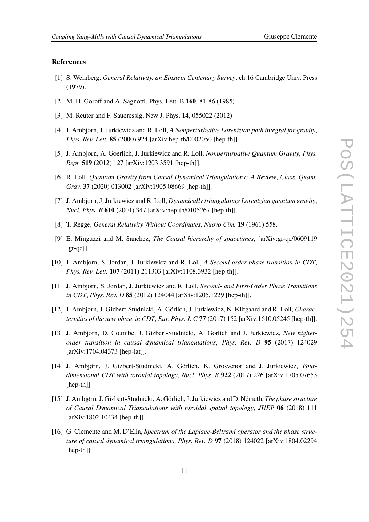# **References**

- <span id="page-10-0"></span>[1] S. Weinberg, *General Relativity, an Einstein Centenary Survey*, ch.16 Cambridge Univ. Press (1979).
- <span id="page-10-1"></span>[2] M. H. Goroff and A. Sagnotti, Phys. Lett. B **160**, 81-86 (1985)
- <span id="page-10-2"></span>[3] M. Reuter and F. Saueressig, New J. Phys. **14**, 055022 (2012)
- <span id="page-10-3"></span>[4] J. Ambjorn, J. Jurkiewicz and R. Loll, *A Nonperturbative Lorentzian path integral for gravity*, *Phys. Rev. Lett.* **85** (2000) 924 [arXiv:hep-th/0002050 [hep-th]].
- <span id="page-10-8"></span>[5] J. Ambjorn, A. Goerlich, J. Jurkiewicz and R. Loll, *Nonperturbative Quantum Gravity*, *Phys. Rept.* **519** (2012) 127 [arXiv:1203.3591 [hep-th]].
- [6] R. Loll, *Quantum Gravity from Causal Dynamical Triangulations: A Review*, *Class. Quant. Grav.* **37** (2020) 013002 [arXiv:1905.08669 [hep-th]].
- <span id="page-10-4"></span>[7] J. Ambjorn, J. Jurkiewicz and R. Loll, *Dynamically triangulating Lorentzian quantum gravity*, *Nucl. Phys. B* **610** (2001) 347 [arXiv:hep-th/0105267 [hep-th]].
- <span id="page-10-5"></span>[8] T. Regge, *General Relativity Without Coordinates*, *Nuovo Cim.* **19** (1961) 558.
- <span id="page-10-6"></span>[9] E. Minguzzi and M. Sanchez, *The Causal hierarchy of spacetimes*, [arXiv:gr-qc/0609119  $[gr-qc]$ ].
- <span id="page-10-7"></span>[10] J. Ambjorn, S. Jordan, J. Jurkiewicz and R. Loll, *A Second-order phase transition in CDT*, *Phys. Rev. Lett.* **107** (2011) 211303 [arXiv:1108.3932 [hep-th]].
- [11] J. Ambjorn, S. Jordan, J. Jurkiewicz and R. Loll, *Second- and First-Order Phase Transitions in CDT*, *Phys. Rev. D* **85** (2012) 124044 [arXiv:1205.1229 [hep-th]].
- [12] J. Ambjørn, J. Gizbert-Studnicki, A. Görlich, J. Jurkiewicz, N. Klitgaard and R. Loll, *Characteristics of the new phase in CDT*, *Eur. Phys. J. C* **77** (2017) 152 [arXiv:1610.05245 [hep-th]].
- [13] J. Ambjorn, D. Coumbe, J. Gizbert-Studnicki, A. Gorlich and J. Jurkiewicz, *New higherorder transition in causal dynamical triangulations*, *Phys. Rev. D* **95** (2017) 124029 [arXiv:1704.04373 [hep-lat]].
- [14] J. Ambjørn, J. Gizbert-Studnicki, A. Görlich, K. Grosvenor and J. Jurkiewicz, *Fourdimensional CDT with toroidal topology*, *Nucl. Phys. B* **922** (2017) 226 [arXiv:1705.07653 [hep-th]].
- [15] J. Ambjørn, J. Gizbert-Studnicki, A. Görlich, J. Jurkiewicz and D. Németh, *The phase structure of Causal Dynamical Triangulations with toroidal spatial topology*, *JHEP* **06** (2018) 111 [arXiv:1802.10434 [hep-th]].
- [16] G. Clemente and M. D'Elia, *Spectrum of the Laplace-Beltrami operator and the phase structure of causal dynamical triangulations*, *Phys. Rev. D* **97** (2018) 124022 [arXiv:1804.02294 [hep-th]].